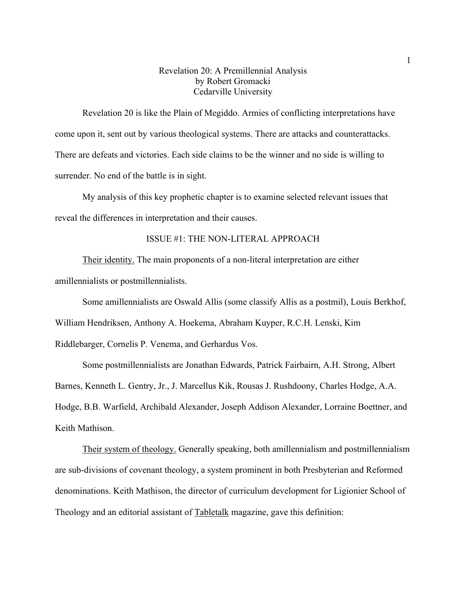# Revelation 20: A Premillennial Analysis by Robert Gromacki Cedarville University

Revelation 20 is like the Plain of Megiddo. Armies of conflicting interpretations have come upon it, sent out by various theological systems. There are attacks and counterattacks. There are defeats and victories. Each side claims to be the winner and no side is willing to surrender. No end of the battle is in sight.

My analysis of this key prophetic chapter is to examine selected relevant issues that reveal the differences in interpretation and their causes.

## ISSUE #1: THE NON-LITERAL APPROACH

Their identity. The main proponents of a non-literal interpretation are either amillennialists or postmillennialists.

Some amillennialists are Oswald Allis (some classify Allis as a postmil), Louis Berkhof,

William Hendriksen, Anthony A. Hoekema, Abraham Kuyper, R.C.H. Lenski, Kim

Riddlebarger, Cornelis P. Venema, and Gerhardus Vos.

Some postmillennialists are Jonathan Edwards, Patrick Fairbairn, A.H. Strong, Albert

Barnes, Kenneth L. Gentry, Jr., J. Marcellus Kik, Rousas J. Rushdoony, Charles Hodge, A.A. Hodge, B.B. Warfield, Archibald Alexander, Joseph Addison Alexander, Lorraine Boettner, and Keith Mathison.

Their system of theology. Generally speaking, both amillennialism and postmillennialism are sub-divisions of covenant theology, a system prominent in both Presbyterian and Reformed denominations. Keith Mathison, the director of curriculum development for Ligionier School of Theology and an editorial assistant of Tabletalk magazine, gave this definition: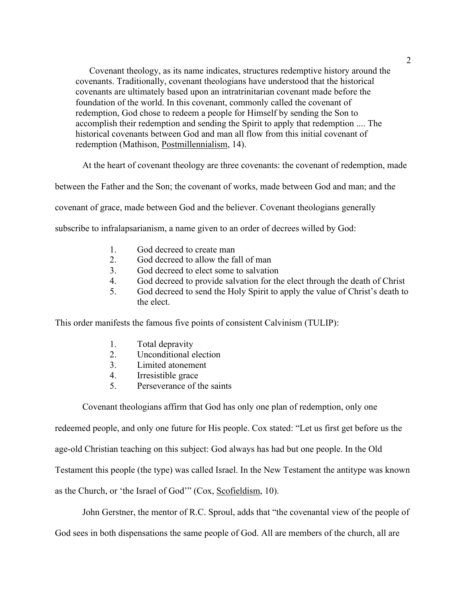Covenant theology, as its name indicates, structures redemptive history around the covenants. Traditionally, covenant theologians have understood that the historical covenants are ultimately based upon an intratrinitarian covenant made before the foundation of the world. In this covenant, commonly called the covenant of redemption, God chose to redeem a people for Himself by sending the Son to accomplish their redemption and sending the Spirit to apply that redemption .... The historical covenants between God and man all flow from this initial covenant of redemption (Mathison, Postmillennialism, 14).

At the heart of covenant theology are three covenants: the covenant of redemption, made

between the Father and the Son; the covenant of works, made between God and man; and the

covenant of grace, made between God and the believer. Covenant theologians generally

subscribe to infralapsarianism, a name given to an order of decrees willed by God:

- 1. God decreed to create man
- 2. God decreed to allow the fall of man
- 3. God decreed to elect some to salvation
- 4. God decreed to provide salvation for the elect through the death of Christ
- 5. God decreed to send the Holy Spirit to apply the value of Christ's death to the elect.

This order manifests the famous five points of consistent Calvinism (TULIP):

- 1. Total depravity
- 2. Unconditional election
- 3. Limited atonement
- 4. Irresistible grace
- 5. Perseverance of the saints

Covenant theologians affirm that God has only one plan of redemption, only one

redeemed people, and only one future for His people. Cox stated: "Let us first get before us the

age-old Christian teaching on this subject: God always has had but one people. In the Old

Testament this people (the type) was called Israel. In the New Testament the antitype was known

as the Church, or 'the Israel of God'" (Cox, Scofieldism, 10).

John Gerstner, the mentor of R.C. Sproul, adds that "the covenantal view of the people of

God sees in both dispensations the same people of God. All are members of the church, all are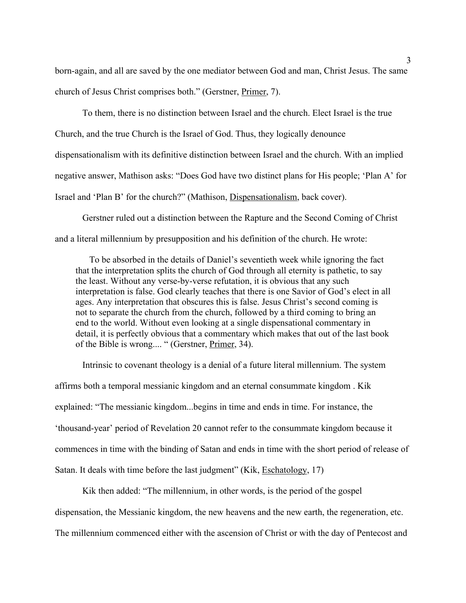born-again, and all are saved by the one mediator between God and man, Christ Jesus. The same church of Jesus Christ comprises both." (Gerstner, Primer, 7).

To them, there is no distinction between Israel and the church. Elect Israel is the true Church, and the true Church is the Israel of God. Thus, they logically denounce dispensationalism with its definitive distinction between Israel and the church. With an implied negative answer, Mathison asks: "Does God have two distinct plans for His people; 'Plan A' for Israel and 'Plan B' for the church?" (Mathison, Dispensationalism, back cover).

Gerstner ruled out a distinction between the Rapture and the Second Coming of Christ and a literal millennium by presupposition and his definition of the church. He wrote:

To be absorbed in the details of Daniel's seventieth week while ignoring the fact that the interpretation splits the church of God through all eternity is pathetic, to say the least. Without any verse-by-verse refutation, it is obvious that any such interpretation is false. God clearly teaches that there is one Savior of God's elect in all ages. Any interpretation that obscures this is false. Jesus Christ's second coming is not to separate the church from the church, followed by a third coming to bring an end to the world. Without even looking at a single dispensational commentary in detail, it is perfectly obvious that a commentary which makes that out of the last book of the Bible is wrong.... " (Gerstner, Primer, 34).

Intrinsic to covenant theology is a denial of a future literal millennium. The system affirms both a temporal messianic kingdom and an eternal consummate kingdom . Kik explained: "The messianic kingdom...begins in time and ends in time. For instance, the 'thousand-year' period of Revelation 20 cannot refer to the consummate kingdom because it commences in time with the binding of Satan and ends in time with the short period of release of Satan. It deals with time before the last judgment" (Kik, Eschatology, 17)

Kik then added: "The millennium, in other words, is the period of the gospel dispensation, the Messianic kingdom, the new heavens and the new earth, the regeneration, etc.

The millennium commenced either with the ascension of Christ or with the day of Pentecost and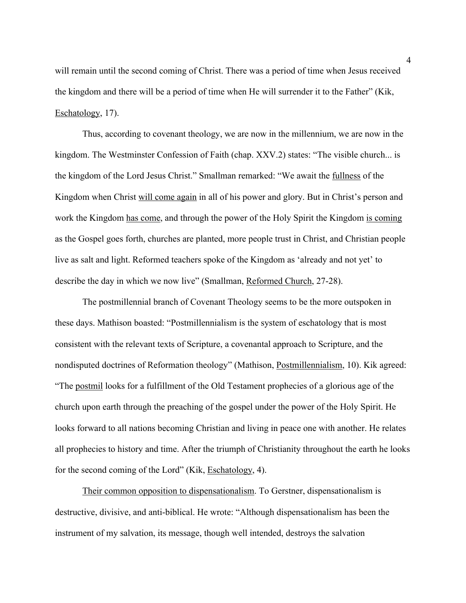will remain until the second coming of Christ. There was a period of time when Jesus received the kingdom and there will be a period of time when He will surrender it to the Father" (Kik, Eschatology, 17).

Thus, according to covenant theology, we are now in the millennium, we are now in the kingdom. The Westminster Confession of Faith (chap. XXV.2) states: "The visible church... is the kingdom of the Lord Jesus Christ." Smallman remarked: "We await the fullness of the Kingdom when Christ will come again in all of his power and glory. But in Christ's person and work the Kingdom has come, and through the power of the Holy Spirit the Kingdom is coming as the Gospel goes forth, churches are planted, more people trust in Christ, and Christian people live as salt and light. Reformed teachers spoke of the Kingdom as 'already and not yet' to describe the day in which we now live" (Smallman, Reformed Church, 27-28).

The postmillennial branch of Covenant Theology seems to be the more outspoken in these days. Mathison boasted: "Postmillennialism is the system of eschatology that is most consistent with the relevant texts of Scripture, a covenantal approach to Scripture, and the nondisputed doctrines of Reformation theology" (Mathison, Postmillennialism, 10). Kik agreed: "The postmil looks for a fulfillment of the Old Testament prophecies of a glorious age of the church upon earth through the preaching of the gospel under the power of the Holy Spirit. He looks forward to all nations becoming Christian and living in peace one with another. He relates all prophecies to history and time. After the triumph of Christianity throughout the earth he looks for the second coming of the Lord" (Kik, Eschatology, 4).

Their common opposition to dispensationalism. To Gerstner, dispensationalism is destructive, divisive, and anti-biblical. He wrote: "Although dispensationalism has been the instrument of my salvation, its message, though well intended, destroys the salvation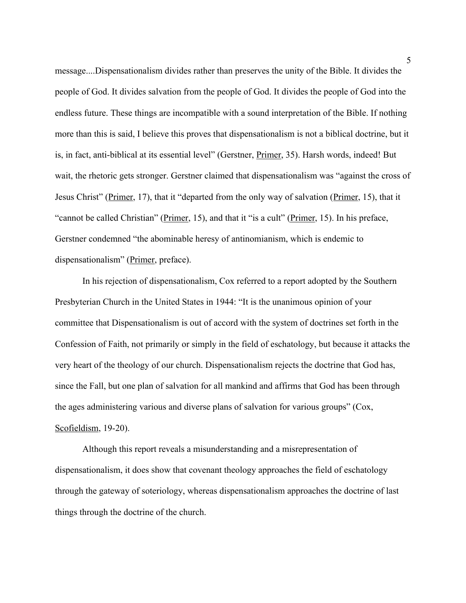message....Dispensationalism divides rather than preserves the unity of the Bible. It divides the people of God. It divides salvation from the people of God. It divides the people of God into the endless future. These things are incompatible with a sound interpretation of the Bible. If nothing more than this is said, I believe this proves that dispensationalism is not a biblical doctrine, but it is, in fact, anti-biblical at its essential level" (Gerstner, Primer, 35). Harsh words, indeed! But wait, the rhetoric gets stronger. Gerstner claimed that dispensationalism was "against the cross of Jesus Christ" (Primer, 17), that it "departed from the only way of salvation (Primer, 15), that it "cannot be called Christian" (Primer, 15), and that it "is a cult" (Primer, 15). In his preface, Gerstner condemned "the abominable heresy of antinomianism, which is endemic to dispensationalism" (Primer, preface).

In his rejection of dispensationalism, Cox referred to a report adopted by the Southern Presbyterian Church in the United States in 1944: "It is the unanimous opinion of your committee that Dispensationalism is out of accord with the system of doctrines set forth in the Confession of Faith, not primarily or simply in the field of eschatology, but because it attacks the very heart of the theology of our church. Dispensationalism rejects the doctrine that God has, since the Fall, but one plan of salvation for all mankind and affirms that God has been through the ages administering various and diverse plans of salvation for various groups" (Cox, Scofieldism, 19-20).

Although this report reveals a misunderstanding and a misrepresentation of dispensationalism, it does show that covenant theology approaches the field of eschatology through the gateway of soteriology, whereas dispensationalism approaches the doctrine of last things through the doctrine of the church.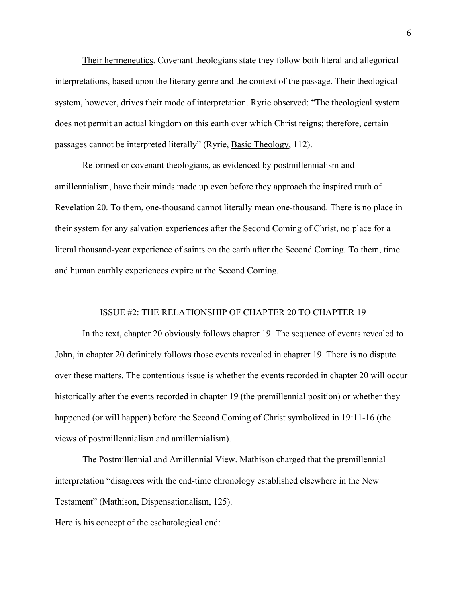Their hermeneutics. Covenant theologians state they follow both literal and allegorical interpretations, based upon the literary genre and the context of the passage. Their theological system, however, drives their mode of interpretation. Ryrie observed: "The theological system does not permit an actual kingdom on this earth over which Christ reigns; therefore, certain passages cannot be interpreted literally" (Ryrie, Basic Theology, 112).

Reformed or covenant theologians, as evidenced by postmillennialism and amillennialism, have their minds made up even before they approach the inspired truth of Revelation 20. To them, one-thousand cannot literally mean one-thousand. There is no place in their system for any salvation experiences after the Second Coming of Christ, no place for a literal thousand-year experience of saints on the earth after the Second Coming. To them, time and human earthly experiences expire at the Second Coming.

## ISSUE #2: THE RELATIONSHIP OF CHAPTER 20 TO CHAPTER 19

In the text, chapter 20 obviously follows chapter 19. The sequence of events revealed to John, in chapter 20 definitely follows those events revealed in chapter 19. There is no dispute over these matters. The contentious issue is whether the events recorded in chapter 20 will occur historically after the events recorded in chapter 19 (the premillennial position) or whether they happened (or will happen) before the Second Coming of Christ symbolized in 19:11-16 (the views of postmillennialism and amillennialism).

The Postmillennial and Amillennial View. Mathison charged that the premillennial interpretation "disagrees with the end-time chronology established elsewhere in the New Testament" (Mathison, Dispensationalism, 125).

Here is his concept of the eschatological end: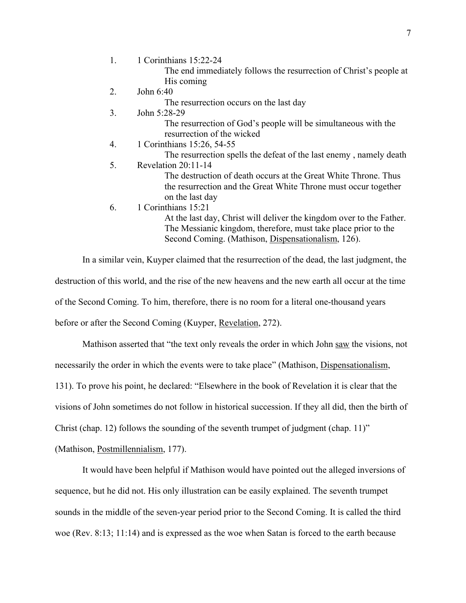1. 1 Corinthians 15:22-24 The end immediately follows the resurrection of Christ's people at His coming 2. John 6:40 The resurrection occurs on the last day 3. John 5:28-29 The resurrection of God's people will be simultaneous with the resurrection of the wicked 4. 1 Corinthians 15:26, 54-55 The resurrection spells the defeat of the last enemy , namely death 5. Revelation 20:11-14 The destruction of death occurs at the Great White Throne. Thus the resurrection and the Great White Throne must occur together on the last day 6. 1 Corinthians 15:21 At the last day, Christ will deliver the kingdom over to the Father. The Messianic kingdom, therefore, must take place prior to the Second Coming. (Mathison, Dispensationalism, 126).

In a similar vein, Kuyper claimed that the resurrection of the dead, the last judgment, the destruction of this world, and the rise of the new heavens and the new earth all occur at the time of the Second Coming. To him, therefore, there is no room for a literal one-thousand years before or after the Second Coming (Kuyper, Revelation, 272).

Mathison asserted that "the text only reveals the order in which John saw the visions, not necessarily the order in which the events were to take place" (Mathison, Dispensationalism, 131). To prove his point, he declared: "Elsewhere in the book of Revelation it is clear that the visions of John sometimes do not follow in historical succession. If they all did, then the birth of

Christ (chap. 12) follows the sounding of the seventh trumpet of judgment (chap. 11)"

(Mathison, Postmillennialism, 177).

It would have been helpful if Mathison would have pointed out the alleged inversions of sequence, but he did not. His only illustration can be easily explained. The seventh trumpet sounds in the middle of the seven-year period prior to the Second Coming. It is called the third woe (Rev. 8:13; 11:14) and is expressed as the woe when Satan is forced to the earth because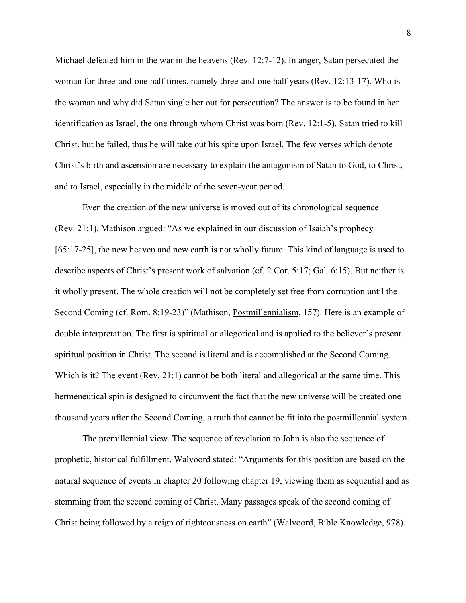Michael defeated him in the war in the heavens (Rev. 12:7-12). In anger, Satan persecuted the woman for three-and-one half times, namely three-and-one half years (Rev. 12:13-17). Who is the woman and why did Satan single her out for persecution? The answer is to be found in her identification as Israel, the one through whom Christ was born (Rev. 12:1-5). Satan tried to kill Christ, but he failed, thus he will take out his spite upon Israel. The few verses which denote Christ's birth and ascension are necessary to explain the antagonism of Satan to God, to Christ, and to Israel, especially in the middle of the seven-year period.

Even the creation of the new universe is moved out of its chronological sequence (Rev. 21:1). Mathison argued: "As we explained in our discussion of Isaiah's prophecy [65:17-25], the new heaven and new earth is not wholly future. This kind of language is used to describe aspects of Christ's present work of salvation (cf. 2 Cor. 5:17; Gal. 6:15). But neither is it wholly present. The whole creation will not be completely set free from corruption until the Second Coming (cf. Rom. 8:19-23)" (Mathison, Postmillennialism, 157). Here is an example of double interpretation. The first is spiritual or allegorical and is applied to the believer's present spiritual position in Christ. The second is literal and is accomplished at the Second Coming. Which is it? The event (Rev. 21:1) cannot be both literal and allegorical at the same time. This hermeneutical spin is designed to circumvent the fact that the new universe will be created one thousand years after the Second Coming, a truth that cannot be fit into the postmillennial system.

The premillennial view. The sequence of revelation to John is also the sequence of prophetic, historical fulfillment. Walvoord stated: "Arguments for this position are based on the natural sequence of events in chapter 20 following chapter 19, viewing them as sequential and as stemming from the second coming of Christ. Many passages speak of the second coming of Christ being followed by a reign of righteousness on earth" (Walvoord, Bible Knowledge, 978).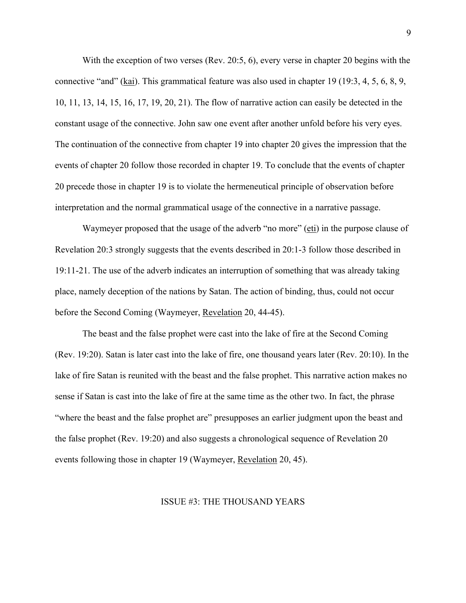With the exception of two verses (Rev. 20:5, 6), every verse in chapter 20 begins with the connective "and" (kai). This grammatical feature was also used in chapter 19 (19:3, 4, 5, 6, 8, 9, 10, 11, 13, 14, 15, 16, 17, 19, 20, 21). The flow of narrative action can easily be detected in the constant usage of the connective. John saw one event after another unfold before his very eyes. The continuation of the connective from chapter 19 into chapter 20 gives the impression that the events of chapter 20 follow those recorded in chapter 19. To conclude that the events of chapter 20 precede those in chapter 19 is to violate the hermeneutical principle of observation before interpretation and the normal grammatical usage of the connective in a narrative passage.

Waymeyer proposed that the usage of the adverb "no more" (eti) in the purpose clause of Revelation 20:3 strongly suggests that the events described in 20:1-3 follow those described in 19:11-21. The use of the adverb indicates an interruption of something that was already taking place, namely deception of the nations by Satan. The action of binding, thus, could not occur before the Second Coming (Waymeyer, Revelation 20, 44-45).

The beast and the false prophet were cast into the lake of fire at the Second Coming (Rev. 19:20). Satan is later cast into the lake of fire, one thousand years later (Rev. 20:10). In the lake of fire Satan is reunited with the beast and the false prophet. This narrative action makes no sense if Satan is cast into the lake of fire at the same time as the other two. In fact, the phrase "where the beast and the false prophet are" presupposes an earlier judgment upon the beast and the false prophet (Rev. 19:20) and also suggests a chronological sequence of Revelation 20 events following those in chapter 19 (Waymeyer, Revelation 20, 45).

## ISSUE #3: THE THOUSAND YEARS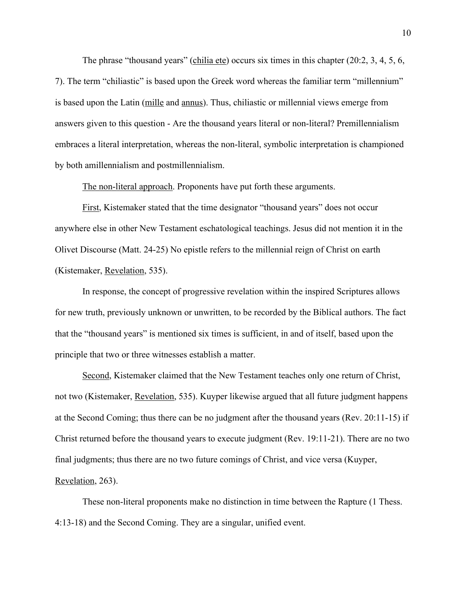The phrase "thousand years" (chilia ete) occurs six times in this chapter (20:2, 3, 4, 5, 6, 7). The term "chiliastic" is based upon the Greek word whereas the familiar term "millennium" is based upon the Latin (mille and annus). Thus, chiliastic or millennial views emerge from answers given to this question - Are the thousand years literal or non-literal? Premillennialism embraces a literal interpretation, whereas the non-literal, symbolic interpretation is championed by both amillennialism and postmillennialism.

The non-literal approach. Proponents have put forth these arguments.

First, Kistemaker stated that the time designator "thousand years" does not occur anywhere else in other New Testament eschatological teachings. Jesus did not mention it in the Olivet Discourse (Matt. 24-25) No epistle refers to the millennial reign of Christ on earth (Kistemaker, Revelation, 535).

In response, the concept of progressive revelation within the inspired Scriptures allows for new truth, previously unknown or unwritten, to be recorded by the Biblical authors. The fact that the "thousand years" is mentioned six times is sufficient, in and of itself, based upon the principle that two or three witnesses establish a matter.

Second, Kistemaker claimed that the New Testament teaches only one return of Christ, not two (Kistemaker, Revelation, 535). Kuyper likewise argued that all future judgment happens at the Second Coming; thus there can be no judgment after the thousand years (Rev. 20:11-15) if Christ returned before the thousand years to execute judgment (Rev. 19:11-21). There are no two final judgments; thus there are no two future comings of Christ, and vice versa (Kuyper, Revelation, 263).

These non-literal proponents make no distinction in time between the Rapture (1 Thess. 4:13-18) and the Second Coming. They are a singular, unified event.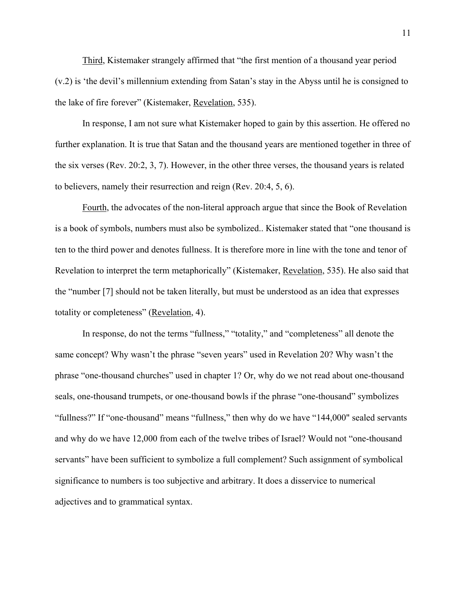Third, Kistemaker strangely affirmed that "the first mention of a thousand year period (v.2) is 'the devil's millennium extending from Satan's stay in the Abyss until he is consigned to the lake of fire forever" (Kistemaker, Revelation, 535).

In response, I am not sure what Kistemaker hoped to gain by this assertion. He offered no further explanation. It is true that Satan and the thousand years are mentioned together in three of the six verses (Rev. 20:2, 3, 7). However, in the other three verses, the thousand years is related to believers, namely their resurrection and reign (Rev. 20:4, 5, 6).

Fourth, the advocates of the non-literal approach argue that since the Book of Revelation is a book of symbols, numbers must also be symbolized.. Kistemaker stated that "one thousand is ten to the third power and denotes fullness. It is therefore more in line with the tone and tenor of Revelation to interpret the term metaphorically" (Kistemaker, Revelation, 535). He also said that the "number [7] should not be taken literally, but must be understood as an idea that expresses totality or completeness" (Revelation, 4).

In response, do not the terms "fullness," "totality," and "completeness" all denote the same concept? Why wasn't the phrase "seven years" used in Revelation 20? Why wasn't the phrase "one-thousand churches" used in chapter 1? Or, why do we not read about one-thousand seals, one-thousand trumpets, or one-thousand bowls if the phrase "one-thousand" symbolizes "fullness?" If "one-thousand" means "fullness," then why do we have "144,000" sealed servants and why do we have 12,000 from each of the twelve tribes of Israel? Would not "one-thousand servants" have been sufficient to symbolize a full complement? Such assignment of symbolical significance to numbers is too subjective and arbitrary. It does a disservice to numerical adjectives and to grammatical syntax.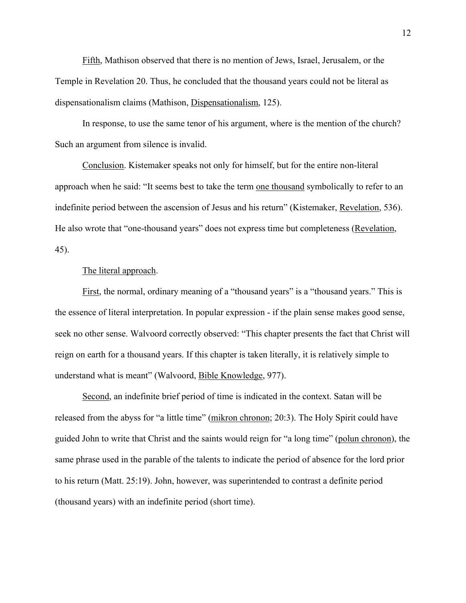Fifth, Mathison observed that there is no mention of Jews, Israel, Jerusalem, or the Temple in Revelation 20. Thus, he concluded that the thousand years could not be literal as dispensationalism claims (Mathison, Dispensationalism, 125).

In response, to use the same tenor of his argument, where is the mention of the church? Such an argument from silence is invalid.

Conclusion. Kistemaker speaks not only for himself, but for the entire non-literal approach when he said: "It seems best to take the term one thousand symbolically to refer to an indefinite period between the ascension of Jesus and his return" (Kistemaker, Revelation, 536). He also wrote that "one-thousand years" does not express time but completeness (Revelation, 45).

## The literal approach.

First, the normal, ordinary meaning of a "thousand years" is a "thousand years." This is the essence of literal interpretation. In popular expression - if the plain sense makes good sense, seek no other sense. Walvoord correctly observed: "This chapter presents the fact that Christ will reign on earth for a thousand years. If this chapter is taken literally, it is relatively simple to understand what is meant" (Walvoord, Bible Knowledge, 977).

Second, an indefinite brief period of time is indicated in the context. Satan will be released from the abyss for "a little time" (mikron chronon; 20:3). The Holy Spirit could have guided John to write that Christ and the saints would reign for "a long time" (polun chronon), the same phrase used in the parable of the talents to indicate the period of absence for the lord prior to his return (Matt. 25:19). John, however, was superintended to contrast a definite period (thousand years) with an indefinite period (short time).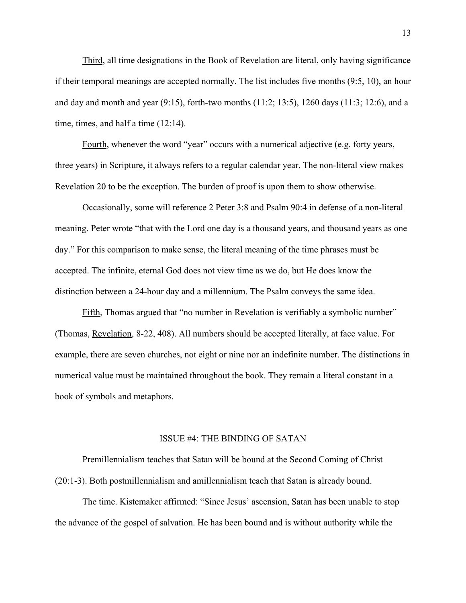Third, all time designations in the Book of Revelation are literal, only having significance if their temporal meanings are accepted normally. The list includes five months (9:5, 10), an hour and day and month and year  $(9.15)$ , forth-two months  $(11.2; 13.5)$ , 1260 days  $(11.3; 12.6)$ , and a time, times, and half a time (12:14).

Fourth, whenever the word "year" occurs with a numerical adjective (e.g. forty years, three years) in Scripture, it always refers to a regular calendar year. The non-literal view makes Revelation 20 to be the exception. The burden of proof is upon them to show otherwise.

Occasionally, some will reference 2 Peter 3:8 and Psalm 90:4 in defense of a non-literal meaning. Peter wrote "that with the Lord one day is a thousand years, and thousand years as one day." For this comparison to make sense, the literal meaning of the time phrases must be accepted. The infinite, eternal God does not view time as we do, but He does know the distinction between a 24-hour day and a millennium. The Psalm conveys the same idea.

Fifth, Thomas argued that "no number in Revelation is verifiably a symbolic number" (Thomas, Revelation, 8-22, 408). All numbers should be accepted literally, at face value. For example, there are seven churches, not eight or nine nor an indefinite number. The distinctions in numerical value must be maintained throughout the book. They remain a literal constant in a book of symbols and metaphors.

#### ISSUE #4: THE BINDING OF SATAN

Premillennialism teaches that Satan will be bound at the Second Coming of Christ (20:1-3). Both postmillennialism and amillennialism teach that Satan is already bound.

The time. Kistemaker affirmed: "Since Jesus' ascension, Satan has been unable to stop the advance of the gospel of salvation. He has been bound and is without authority while the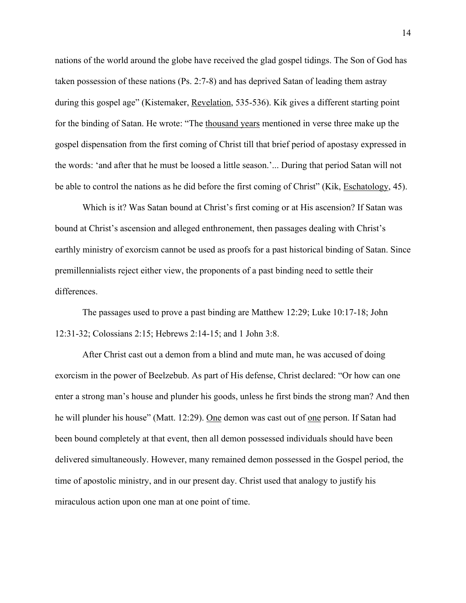nations of the world around the globe have received the glad gospel tidings. The Son of God has taken possession of these nations (Ps. 2:7-8) and has deprived Satan of leading them astray during this gospel age" (Kistemaker, Revelation, 535-536). Kik gives a different starting point for the binding of Satan. He wrote: "The thousand years mentioned in verse three make up the gospel dispensation from the first coming of Christ till that brief period of apostasy expressed in the words: 'and after that he must be loosed a little season.'... During that period Satan will not be able to control the nations as he did before the first coming of Christ" (Kik, Eschatology, 45).

Which is it? Was Satan bound at Christ's first coming or at His ascension? If Satan was bound at Christ's ascension and alleged enthronement, then passages dealing with Christ's earthly ministry of exorcism cannot be used as proofs for a past historical binding of Satan. Since premillennialists reject either view, the proponents of a past binding need to settle their differences.

The passages used to prove a past binding are Matthew 12:29; Luke 10:17-18; John 12:31-32; Colossians 2:15; Hebrews 2:14-15; and 1 John 3:8.

After Christ cast out a demon from a blind and mute man, he was accused of doing exorcism in the power of Beelzebub. As part of His defense, Christ declared: "Or how can one enter a strong man's house and plunder his goods, unless he first binds the strong man? And then he will plunder his house" (Matt. 12:29). One demon was cast out of <u>one</u> person. If Satan had been bound completely at that event, then all demon possessed individuals should have been delivered simultaneously. However, many remained demon possessed in the Gospel period, the time of apostolic ministry, and in our present day. Christ used that analogy to justify his miraculous action upon one man at one point of time.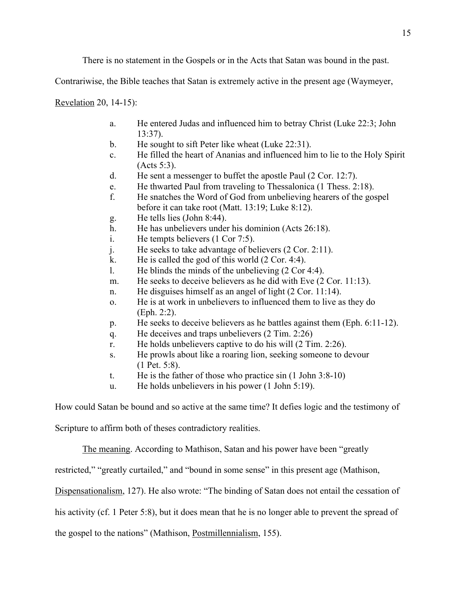There is no statement in the Gospels or in the Acts that Satan was bound in the past.

Contrariwise, the Bible teaches that Satan is extremely active in the present age (Waymeyer,

Revelation 20, 14-15):

- a. He entered Judas and influenced him to betray Christ (Luke 22:3; John 13:37).
- b. He sought to sift Peter like wheat (Luke 22:31).
- c. He filled the heart of Ananias and influenced him to lie to the Holy Spirit (Acts 5:3).
- d. He sent a messenger to buffet the apostle Paul (2 Cor. 12:7).
- e. He thwarted Paul from traveling to Thessalonica (1 Thess. 2:18).
- f. He snatches the Word of God from unbelieving hearers of the gospel before it can take root (Matt. 13:19; Luke 8:12).
- g. He tells lies (John 8:44).
- h. He has unbelievers under his dominion (Acts 26:18).
- i. He tempts believers (1 Cor 7:5).
- j. He seeks to take advantage of believers (2 Cor. 2:11).
- k. He is called the god of this world (2 Cor. 4:4).
- l. He blinds the minds of the unbelieving (2 Cor 4:4).
- m. He seeks to deceive believers as he did with Eve (2 Cor. 11:13).
- n. He disguises himself as an angel of light (2 Cor. 11:14).
- o. He is at work in unbelievers to influenced them to live as they do (Eph. 2:2).
- p. He seeks to deceive believers as he battles against them (Eph. 6:11-12).
- q. He deceives and traps unbelievers (2 Tim. 2:26)
- r. He holds unbelievers captive to do his will (2 Tim. 2:26).
- s. He prowls about like a roaring lion, seeking someone to devour (1 Pet. 5:8).
- t. He is the father of those who practice sin (1 John 3:8-10)
- u. He holds unbelievers in his power (1 John 5:19).

How could Satan be bound and so active at the same time? It defies logic and the testimony of

Scripture to affirm both of theses contradictory realities.

The meaning. According to Mathison, Satan and his power have been "greatly

restricted," "greatly curtailed," and "bound in some sense" in this present age (Mathison,

Dispensationalism, 127). He also wrote: "The binding of Satan does not entail the cessation of

his activity (cf. 1 Peter 5:8), but it does mean that he is no longer able to prevent the spread of

the gospel to the nations" (Mathison, Postmillennialism, 155).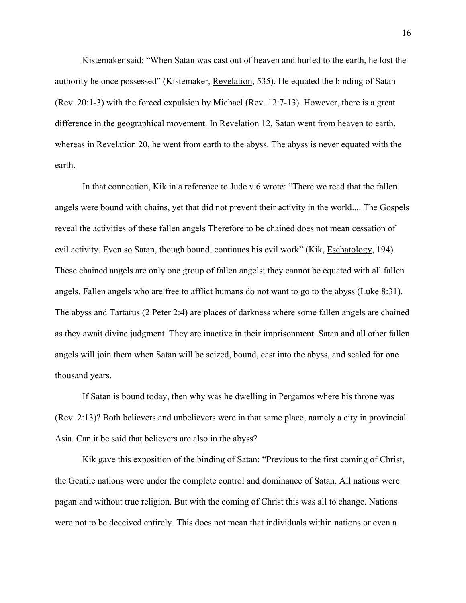Kistemaker said: "When Satan was cast out of heaven and hurled to the earth, he lost the authority he once possessed" (Kistemaker, Revelation, 535). He equated the binding of Satan (Rev. 20:1-3) with the forced expulsion by Michael (Rev. 12:7-13). However, there is a great difference in the geographical movement. In Revelation 12, Satan went from heaven to earth, whereas in Revelation 20, he went from earth to the abyss. The abyss is never equated with the earth.

In that connection, Kik in a reference to Jude v.6 wrote: "There we read that the fallen angels were bound with chains, yet that did not prevent their activity in the world.... The Gospels reveal the activities of these fallen angels Therefore to be chained does not mean cessation of evil activity. Even so Satan, though bound, continues his evil work" (Kik, Eschatology, 194). These chained angels are only one group of fallen angels; they cannot be equated with all fallen angels. Fallen angels who are free to afflict humans do not want to go to the abyss (Luke 8:31). The abyss and Tartarus (2 Peter 2:4) are places of darkness where some fallen angels are chained as they await divine judgment. They are inactive in their imprisonment. Satan and all other fallen angels will join them when Satan will be seized, bound, cast into the abyss, and sealed for one thousand years.

If Satan is bound today, then why was he dwelling in Pergamos where his throne was (Rev. 2:13)? Both believers and unbelievers were in that same place, namely a city in provincial Asia. Can it be said that believers are also in the abyss?

Kik gave this exposition of the binding of Satan: "Previous to the first coming of Christ, the Gentile nations were under the complete control and dominance of Satan. All nations were pagan and without true religion. But with the coming of Christ this was all to change. Nations were not to be deceived entirely. This does not mean that individuals within nations or even a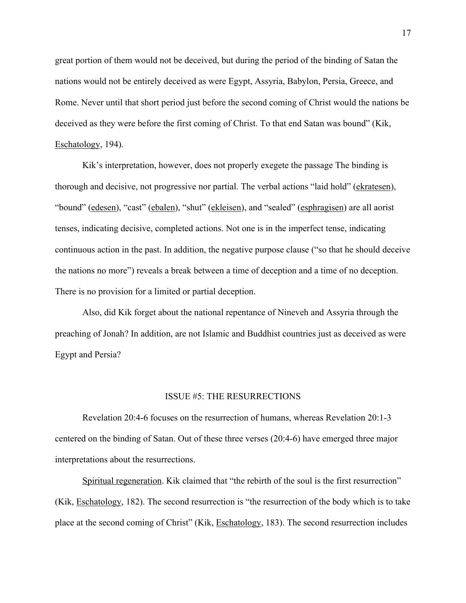great portion of them would not be deceived, but during the period of the binding of Satan the nations would not be entirely deceived as were Egypt, Assyria, Babylon, Persia, Greece, and Rome. Never until that short period just before the second coming of Christ would the nations be deceived as they were before the first coming of Christ. To that end Satan was bound" (Kik, Eschatology, 194).

Kik's interpretation, however, does not properly exegete the passage The binding is thorough and decisive, not progressive nor partial. The verbal actions "laid hold" (ekratesen), "bound" (edesen), "cast" (ebalen), "shut" (ekleisen), and "sealed" (esphragisen) are all aorist tenses, indicating decisive, completed actions. Not one is in the imperfect tense, indicating continuous action in the past. In addition, the negative purpose clause ("so that he should deceive the nations no more") reveals a break between a time of deception and a time of no deception. There is no provision for a limited or partial deception.

Also, did Kik forget about the national repentance of Nineveh and Assyria through the preaching of Jonah? In addition, are not Islamic and Buddhist countries just as deceived as were Egypt and Persia?

#### ISSUE #5: THE RESURRECTIONS

Revelation 20:4-6 focuses on the resurrection of humans, whereas Revelation 20:1-3 centered on the binding of Satan. Out of these three verses (20:4-6) have emerged three major interpretations about the resurrections.

Spiritual regeneration. Kik claimed that "the rebirth of the soul is the first resurrection" (Kik, Eschatology, 182). The second resurrection is "the resurrection of the body which is to take place at the second coming of Christ" (Kik, Eschatology, 183). The second resurrection includes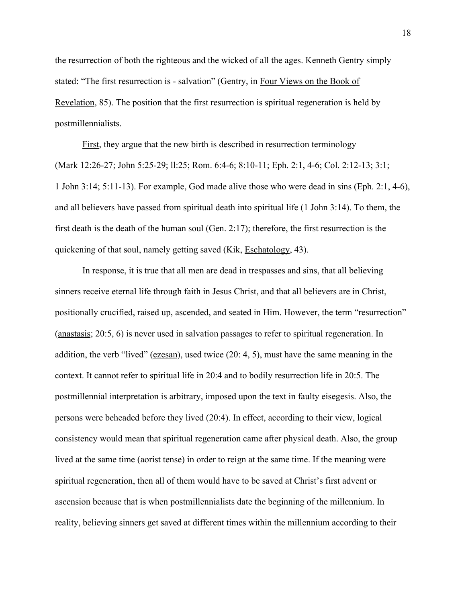the resurrection of both the righteous and the wicked of all the ages. Kenneth Gentry simply stated: "The first resurrection is - salvation" (Gentry, in Four Views on the Book of Revelation, 85). The position that the first resurrection is spiritual regeneration is held by postmillennialists.

First, they argue that the new birth is described in resurrection terminology (Mark 12:26-27; John 5:25-29; ll:25; Rom. 6:4-6; 8:10-11; Eph. 2:1, 4-6; Col. 2:12-13; 3:1; 1 John 3:14; 5:11-13). For example, God made alive those who were dead in sins (Eph. 2:1, 4-6), and all believers have passed from spiritual death into spiritual life (1 John 3:14). To them, the first death is the death of the human soul (Gen. 2:17); therefore, the first resurrection is the quickening of that soul, namely getting saved (Kik, Eschatology, 43).

In response, it is true that all men are dead in trespasses and sins, that all believing sinners receive eternal life through faith in Jesus Christ, and that all believers are in Christ, positionally crucified, raised up, ascended, and seated in Him. However, the term "resurrection" (anastasis; 20:5, 6) is never used in salvation passages to refer to spiritual regeneration. In addition, the verb "lived" (ezesan), used twice (20: 4, 5), must have the same meaning in the context. It cannot refer to spiritual life in 20:4 and to bodily resurrection life in 20:5. The postmillennial interpretation is arbitrary, imposed upon the text in faulty eisegesis. Also, the persons were beheaded before they lived (20:4). In effect, according to their view, logical consistency would mean that spiritual regeneration came after physical death. Also, the group lived at the same time (aorist tense) in order to reign at the same time. If the meaning were spiritual regeneration, then all of them would have to be saved at Christ's first advent or ascension because that is when postmillennialists date the beginning of the millennium. In reality, believing sinners get saved at different times within the millennium according to their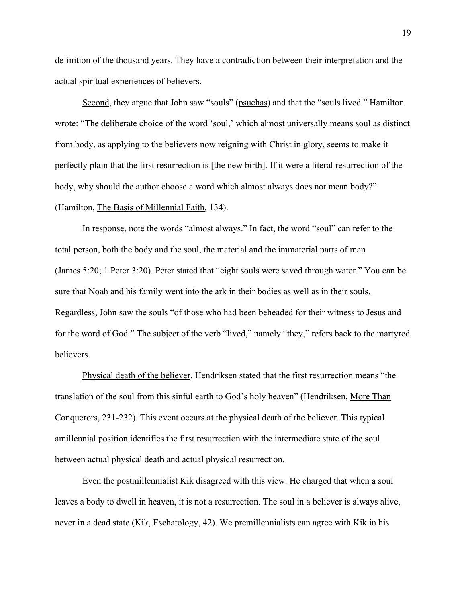definition of the thousand years. They have a contradiction between their interpretation and the actual spiritual experiences of believers.

Second, they argue that John saw "souls" (psuchas) and that the "souls lived." Hamilton wrote: "The deliberate choice of the word 'soul,' which almost universally means soul as distinct from body, as applying to the believers now reigning with Christ in glory, seems to make it perfectly plain that the first resurrection is [the new birth]. If it were a literal resurrection of the body, why should the author choose a word which almost always does not mean body?" (Hamilton, The Basis of Millennial Faith, 134).

In response, note the words "almost always." In fact, the word "soul" can refer to the total person, both the body and the soul, the material and the immaterial parts of man (James 5:20; 1 Peter 3:20). Peter stated that "eight souls were saved through water." You can be sure that Noah and his family went into the ark in their bodies as well as in their souls. Regardless, John saw the souls "of those who had been beheaded for their witness to Jesus and for the word of God." The subject of the verb "lived," namely "they," refers back to the martyred believers.

Physical death of the believer. Hendriksen stated that the first resurrection means "the translation of the soul from this sinful earth to God's holy heaven" (Hendriksen, More Than Conquerors, 231-232). This event occurs at the physical death of the believer. This typical amillennial position identifies the first resurrection with the intermediate state of the soul between actual physical death and actual physical resurrection.

Even the postmillennialist Kik disagreed with this view. He charged that when a soul leaves a body to dwell in heaven, it is not a resurrection. The soul in a believer is always alive, never in a dead state (Kik, Eschatology, 42). We premillennialists can agree with Kik in his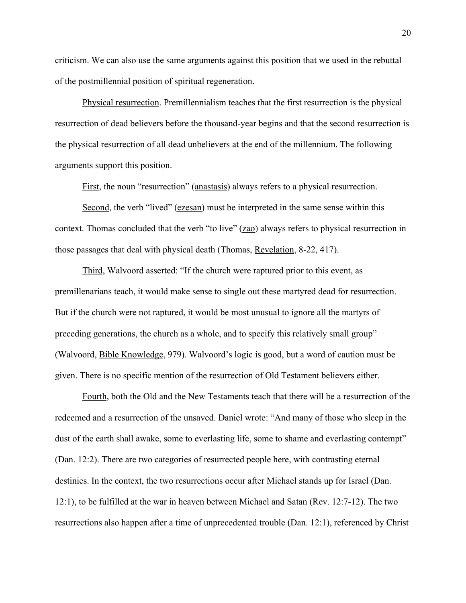criticism. We can also use the same arguments against this position that we used in the rebuttal of the postmillennial position of spiritual regeneration.

Physical resurrection. Premillennialism teaches that the first resurrection is the physical resurrection of dead believers before the thousand-year begins and that the second resurrection is the physical resurrection of all dead unbelievers at the end of the millennium. The following arguments support this position.

First, the noun "resurrection" (anastasis) always refers to a physical resurrection.

Second, the verb "lived" (ezesan) must be interpreted in the same sense within this context. Thomas concluded that the verb "to live" (zao) always refers to physical resurrection in those passages that deal with physical death (Thomas, Revelation, 8-22, 417).

Third, Walvoord asserted: "If the church were raptured prior to this event, as premillenarians teach, it would make sense to single out these martyred dead for resurrection. But if the church were not raptured, it would be most unusual to ignore all the martyrs of preceding generations, the church as a whole, and to specify this relatively small group" (Walvoord, Bible Knowledge, 979). Walvoord's logic is good, but a word of caution must be given. There is no specific mention of the resurrection of Old Testament believers either.

Fourth, both the Old and the New Testaments teach that there will be a resurrection of the redeemed and a resurrection of the unsaved. Daniel wrote: "And many of those who sleep in the dust of the earth shall awake, some to everlasting life, some to shame and everlasting contempt" (Dan. 12:2). There are two categories of resurrected people here, with contrasting eternal destinies. In the context, the two resurrections occur after Michael stands up for Israel (Dan. 12:1), to be fulfilled at the war in heaven between Michael and Satan (Rev. 12:7-12). The two resurrections also happen after a time of unprecedented trouble (Dan. 12:1), referenced by Christ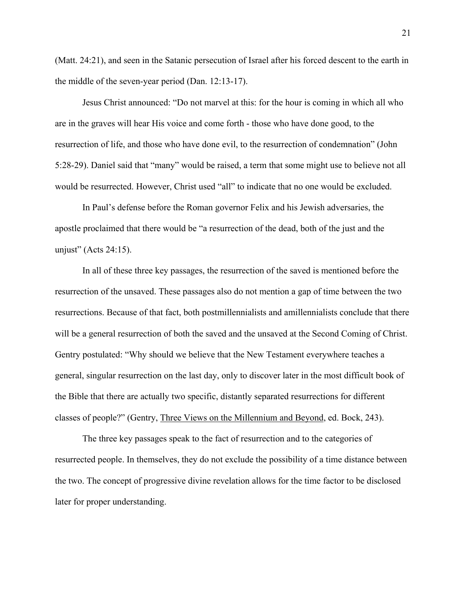(Matt. 24:21), and seen in the Satanic persecution of Israel after his forced descent to the earth in the middle of the seven-year period (Dan. 12:13-17).

Jesus Christ announced: "Do not marvel at this: for the hour is coming in which all who are in the graves will hear His voice and come forth - those who have done good, to the resurrection of life, and those who have done evil, to the resurrection of condemnation" (John 5:28-29). Daniel said that "many" would be raised, a term that some might use to believe not all would be resurrected. However, Christ used "all" to indicate that no one would be excluded.

In Paul's defense before the Roman governor Felix and his Jewish adversaries, the apostle proclaimed that there would be "a resurrection of the dead, both of the just and the unjust" (Acts 24:15).

In all of these three key passages, the resurrection of the saved is mentioned before the resurrection of the unsaved. These passages also do not mention a gap of time between the two resurrections. Because of that fact, both postmillennialists and amillennialists conclude that there will be a general resurrection of both the saved and the unsaved at the Second Coming of Christ. Gentry postulated: "Why should we believe that the New Testament everywhere teaches a general, singular resurrection on the last day, only to discover later in the most difficult book of the Bible that there are actually two specific, distantly separated resurrections for different classes of people?" (Gentry, Three Views on the Millennium and Beyond, ed. Bock, 243).

The three key passages speak to the fact of resurrection and to the categories of resurrected people. In themselves, they do not exclude the possibility of a time distance between the two. The concept of progressive divine revelation allows for the time factor to be disclosed later for proper understanding.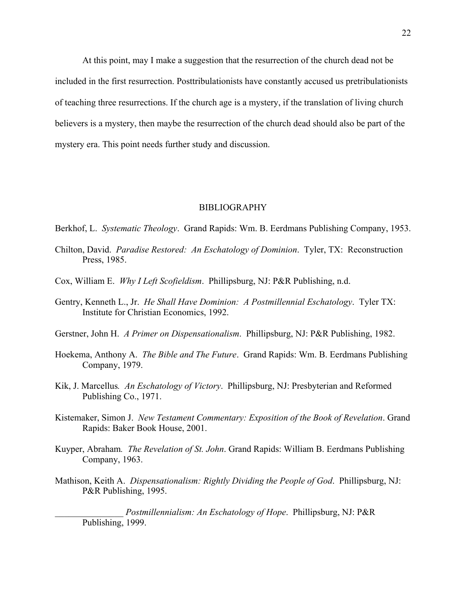At this point, may I make a suggestion that the resurrection of the church dead not be included in the first resurrection. Posttribulationists have constantly accused us pretribulationists of teaching three resurrections. If the church age is a mystery, if the translation of living church believers is a mystery, then maybe the resurrection of the church dead should also be part of the mystery era. This point needs further study and discussion.

#### BIBLIOGRAPHY

Berkhof, L. *Systematic Theology*. Grand Rapids: Wm. B. Eerdmans Publishing Company, 1953.

- Chilton, David. *Paradise Restored: An Eschatology of Dominion*. Tyler, TX: Reconstruction Press, 1985.
- Cox, William E. *Why I Left Scofieldism*. Phillipsburg, NJ: P&R Publishing, n.d.
- Gentry, Kenneth L., Jr. *He Shall Have Dominion: A Postmillennial Eschatology*. Tyler TX: Institute for Christian Economics, 1992.
- Gerstner, John H. *A Primer on Dispensationalism*. Phillipsburg, NJ: P&R Publishing, 1982.
- Hoekema, Anthony A. *The Bible and The Future*. Grand Rapids: Wm. B. Eerdmans Publishing Company, 1979.
- Kik, J. Marcellus*. An Eschatology of Victory*. Phillipsburg, NJ: Presbyterian and Reformed Publishing Co., 1971.
- Kistemaker, Simon J. *New Testament Commentary: Exposition of the Book of Revelation*. Grand Rapids: Baker Book House, 2001.
- Kuyper, Abraham*. The Revelation of St. John*. Grand Rapids: William B. Eerdmans Publishing Company, 1963.
- Mathison, Keith A. *Dispensationalism: Rightly Dividing the People of God*. Phillipsburg, NJ: P&R Publishing, 1995.

\_\_\_\_\_\_\_\_\_\_\_\_\_\_\_ *Postmillennialism: An Eschatology of Hope*. Phillipsburg, NJ: P&R Publishing, 1999.